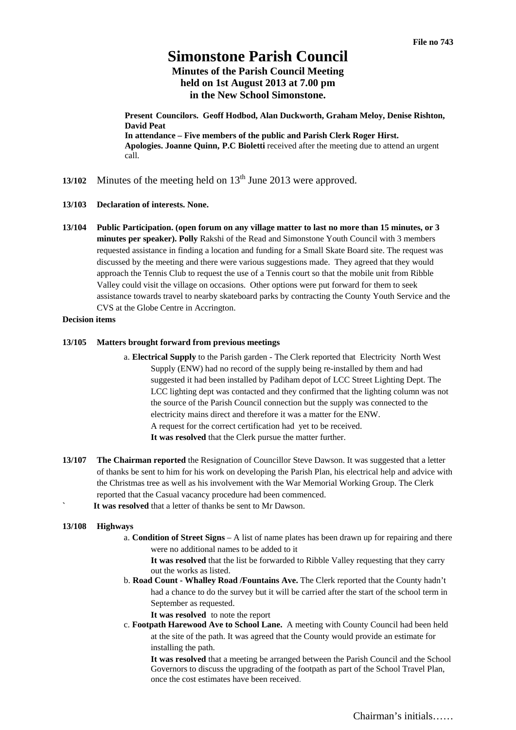# **Simonstone Parish Council**

# **Minutes of the Parish Council Meeting held on 1st August 2013 at 7.00 pm in the New School Simonstone.**

**Present Councilors. Geoff Hodbod, Alan Duckworth, Graham Meloy, Denise Rishton, David Peat In attendance – Five members of the public and Parish Clerk Roger Hirst. Apologies. Joanne Quinn, P.C Bioletti** received after the meeting due to attend an urgent call.

- **13/102** Minutes of the meeting held on 13<sup>th</sup> June 2013 were approved.
- **13/103 Declaration of interests. None.**
- **13/104 Public Participation. (open forum on any village matter to last no more than 15 minutes, or 3 minutes per speaker). Polly** Rakshi of the Read and Simonstone Youth Council with 3 members requested assistance in finding a location and funding for a Small Skate Board site. The request was discussed by the meeting and there were various suggestions made. They agreed that they would approach the Tennis Club to request the use of a Tennis court so that the mobile unit from Ribble Valley could visit the village on occasions. Other options were put forward for them to seek assistance towards travel to nearby skateboard parks by contracting the County Youth Service and the CVS at the Globe Centre in Accrington.

# **Decision items**

## **13/105 Matters brought forward from previous meetings**

- a. **Electrical Supply** to the Parish garden The Clerk reported that Electricity North West Supply (ENW) had no record of the supply being re-installed by them and had suggested it had been installed by Padiham depot of LCC Street Lighting Dept. The LCC lighting dept was contacted and they confirmed that the lighting column was not the source of the Parish Council connection but the supply was connected to the electricity mains direct and therefore it was a matter for the ENW. A request for the correct certification had yet to be received. **It was resolved** that the Clerk pursue the matter further.
- **13/107 The Chairman reported** the Resignation of Councillor Steve Dawson. It was suggested that a letter of thanks be sent to him for his work on developing the Parish Plan, his electrical help and advice with the Christmas tree as well as his involvement with the War Memorial Working Group. The Clerk reported that the Casual vacancy procedure had been commenced.
	- **` It was resolved** that a letter of thanks be sent to Mr Dawson.

### **13/108 Highways**

a. **Condition of Street Signs** – A list of name plates has been drawn up for repairing and there were no additional names to be added to it

**It was resolved** that the list be forwarded to Ribble Valley requesting that they carry out the works as listed.

- b. **Road Count Whalley Road /Fountains Ave.** The Clerk reported that the County hadn't had a chance to do the survey but it will be carried after the start of the school term in September as requested.
	- **It was resolved** to note the report
- c. **Footpath Harewood Ave to School Lane.** A meeting with County Council had been held at the site of the path. It was agreed that the County would provide an estimate for installing the path.

**It was resolved** that a meeting be arranged between the Parish Council and the School Governors to discuss the upgrading of the footpath as part of the School Travel Plan, once the cost estimates have been received.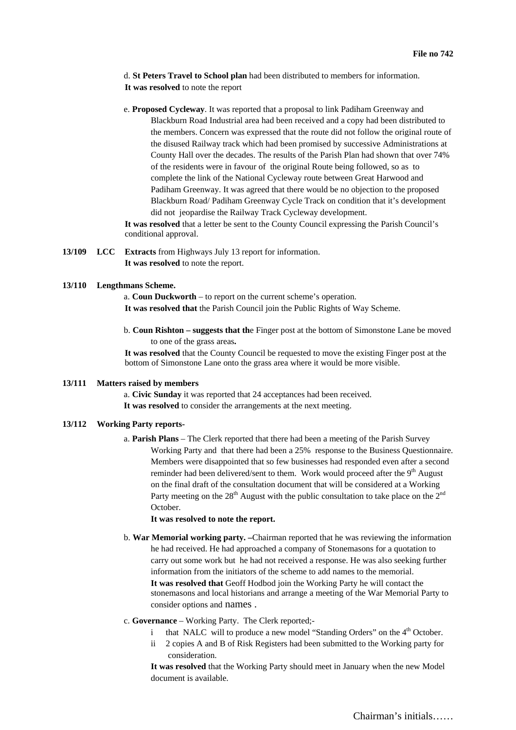d. **St Peters Travel to School plan** had been distributed to members for information. **It was resolved** to note the report

e. **Proposed Cycleway**. It was reported that a proposal to link Padiham Greenway and Blackburn Road Industrial area had been received and a copy had been distributed to the members. Concern was expressed that the route did not follow the original route of the disused Railway track which had been promised by successive Administrations at County Hall over the decades. The results of the Parish Plan had shown that over 74% of the residents were in favour of the original Route being followed, so as to complete the link of the National Cycleway route between Great Harwood and Padiham Greenway. It was agreed that there would be no objection to the proposed Blackburn Road/ Padiham Greenway Cycle Track on condition that it's development did not jeopardise the Railway Track Cycleway development.

**It was resolved** that a letter be sent to the County Council expressing the Parish Council's conditional approval.

**13/109 LCC Extracts** from Highways July 13 report for information. **It was resolved** to note the report.

#### **13/110 Lengthmans Scheme.**

a. **Coun Duckworth** – to report on the current scheme's operation. **It was resolved that** the Parish Council join the Public Rights of Way Scheme.

b. **Coun Rishton – suggests that th**e Finger post at the bottom of Simonstone Lane be moved to one of the grass areas**.** 

**It was resolved** that the County Council be requested to move the existing Finger post at the bottom of Simonstone Lane onto the grass area where it would be more visible.

# **13/111 Matters raised by members**

a. **Civic Sunday** it was reported that 24 acceptances had been received. **It was resolved** to consider the arrangements at the next meeting.

# **13/112 Working Party reports-**

a. **Parish Plans** – The Clerk reported that there had been a meeting of the Parish Survey Working Party and that there had been a 25% response to the Business Questionnaire. Members were disappointed that so few businesses had responded even after a second reminder had been delivered/sent to them. Work would proceed after the 9<sup>th</sup> August on the final draft of the consultation document that will be considered at a Working Party meeting on the  $28<sup>th</sup>$  August with the public consultation to take place on the  $2<sup>nd</sup>$ October.

### **It was resolved to note the report.**

- b. **War Memorial working party. –**Chairman reported that he was reviewing the information he had received. He had approached a company of Stonemasons for a quotation to carry out some work but he had not received a response. He was also seeking further information from the initiators of the scheme to add names to the memorial. **It was resolved that** Geoff Hodbod join the Working Party he will contact the stonemasons and local historians and arrange a meeting of the War Memorial Party to consider options and names .
- c. **Governance**  Working Party. The Clerk reported;
	- that NALC will to produce a new model "Standing Orders" on the  $4<sup>th</sup>$  October.
	- ii 2 copies A and B of Risk Registers had been submitted to the Working party for consideration.

**It was resolved** that the Working Party should meet in January when the new Model document is available.